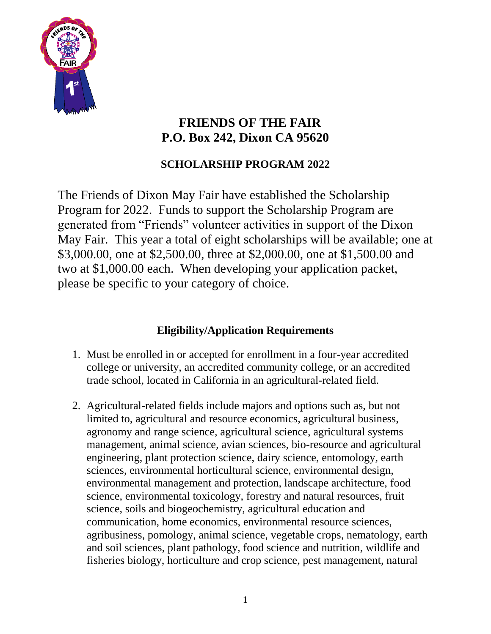

# **FRIENDS OF THE FAIR P.O. Box 242, Dixon CA 95620**

# **SCHOLARSHIP PROGRAM 2022**

The Friends of Dixon May Fair have established the Scholarship Program for 2022. Funds to support the Scholarship Program are generated from "Friends" volunteer activities in support of the Dixon May Fair. This year a total of eight scholarships will be available; one at \$3,000.00, one at \$2,500.00, three at \$2,000.00, one at \$1,500.00 and two at \$1,000.00 each. When developing your application packet, please be specific to your category of choice.

## **Eligibility/Application Requirements**

- 1. Must be enrolled in or accepted for enrollment in a four-year accredited college or university, an accredited community college, or an accredited trade school, located in California in an agricultural-related field.
- 2. Agricultural-related fields include majors and options such as, but not limited to, agricultural and resource economics, agricultural business, agronomy and range science, agricultural science, agricultural systems management, animal science, avian sciences, bio-resource and agricultural engineering, plant protection science, dairy science, entomology, earth sciences, environmental horticultural science, environmental design, environmental management and protection, landscape architecture, food science, environmental toxicology, forestry and natural resources, fruit science, soils and biogeochemistry, agricultural education and communication, home economics, environmental resource sciences, agribusiness, pomology, animal science, vegetable crops, nematology, earth and soil sciences, plant pathology, food science and nutrition, wildlife and fisheries biology, horticulture and crop science, pest management, natural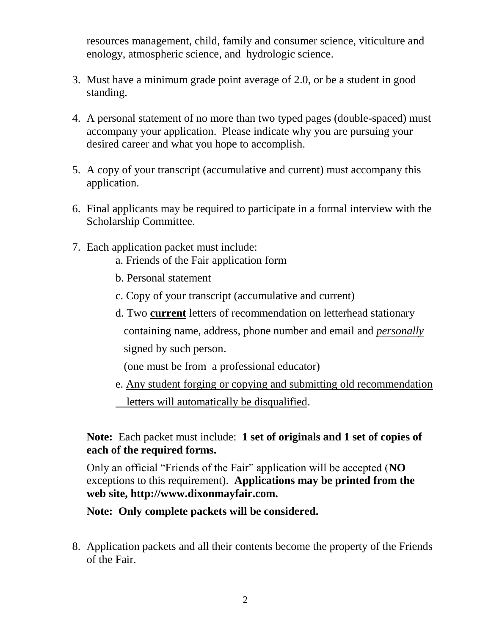resources management, child, family and consumer science, viticulture and enology, atmospheric science, and hydrologic science.

- 3. Must have a minimum grade point average of 2.0, or be a student in good standing.
- 4. A personal statement of no more than two typed pages (double-spaced) must accompany your application. Please indicate why you are pursuing your desired career and what you hope to accomplish.
- 5. A copy of your transcript (accumulative and current) must accompany this application.
- 6. Final applicants may be required to participate in a formal interview with the Scholarship Committee.
- 7. Each application packet must include:
	- a. Friends of the Fair application form
	- b. Personal statement
	- c. Copy of your transcript (accumulative and current)
	- d. Two **current** letters of recommendation on letterhead stationary containing name, address, phone number and email and *personally* signed by such person.

(one must be from a professional educator)

e. Any student forging or copying and submitting old recommendation letters will automatically be disqualified.

**Note:** Each packet must include: **1 set of originals and 1 set of copies of each of the required forms.** 

Only an official "Friends of the Fair" application will be accepted (**NO** exceptions to this requirement). **Applications may be printed from the web site, http://www.dixonmayfair.com.**

**Note: Only complete packets will be considered.** 

8. Application packets and all their contents become the property of the Friends of the Fair.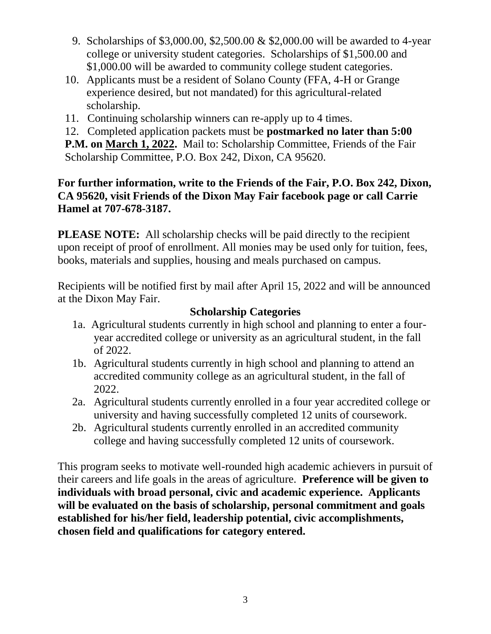- 9. Scholarships of \$3,000.00, \$2,500.00 & \$2,000.00 will be awarded to 4-year college or university student categories. Scholarships of \$1,500.00 and \$1,000.00 will be awarded to community college student categories.
- 10. Applicants must be a resident of Solano County (FFA, 4-H or Grange experience desired, but not mandated) for this agricultural-related scholarship.
- 11. Continuing scholarship winners can re-apply up to 4 times.
- 12. Completed application packets must be **postmarked no later than 5:00**

**P.M. on March 1, 2022.** Mail to: Scholarship Committee, Friends of the Fair Scholarship Committee, P.O. Box 242, Dixon, CA 95620.

### **For further information, write to the Friends of the Fair, P.O. Box 242, Dixon, CA 95620, visit Friends of the Dixon May Fair facebook page or call Carrie Hamel at 707-678-3187.**

**PLEASE NOTE:** All scholarship checks will be paid directly to the recipient upon receipt of proof of enrollment. All monies may be used only for tuition, fees, books, materials and supplies, housing and meals purchased on campus.

Recipients will be notified first by mail after April 15, 2022 and will be announced at the Dixon May Fair.

### **Scholarship Categories**

- 1a. Agricultural students currently in high school and planning to enter a fouryear accredited college or university as an agricultural student, in the fall of 2022.
- 1b. Agricultural students currently in high school and planning to attend an accredited community college as an agricultural student, in the fall of 2022.
- 2a. Agricultural students currently enrolled in a four year accredited college or university and having successfully completed 12 units of coursework.
- 2b. Agricultural students currently enrolled in an accredited community college and having successfully completed 12 units of coursework.

This program seeks to motivate well-rounded high academic achievers in pursuit of their careers and life goals in the areas of agriculture. **Preference will be given to individuals with broad personal, civic and academic experience. Applicants will be evaluated on the basis of scholarship, personal commitment and goals established for his/her field, leadership potential, civic accomplishments, chosen field and qualifications for category entered.**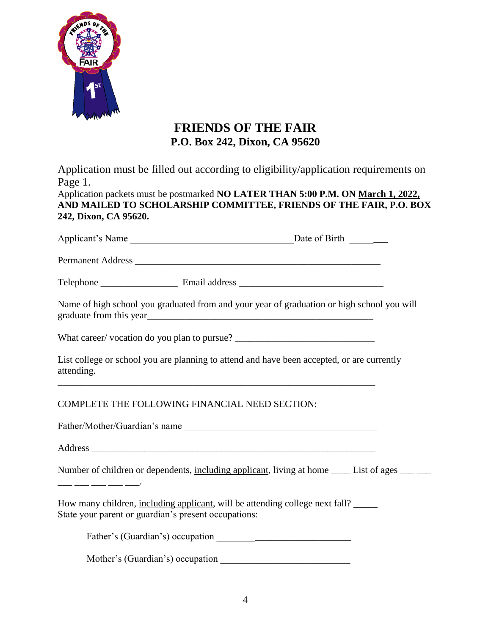

### **FRIENDS OF THE FAIR P.O. Box 242, Dixon, CA 95620**

Application must be filled out according to eligibility/application requirements on Page 1.

Application packets must be postmarked **NO LATER THAN 5:00 P.M. ON March 1, 2022, AND MAILED TO SCHOLARSHIP COMMITTEE, FRIENDS OF THE FAIR, P.O. BOX 242, Dixon, CA 95620.**

| Applicant's Name | Date of Birth |  |
|------------------|---------------|--|
|                  |               |  |

Permanent Address \_\_\_\_\_\_\_\_\_\_\_\_\_\_\_\_\_\_\_\_\_\_\_\_\_\_\_\_\_\_\_\_\_\_\_\_\_\_\_\_\_\_\_\_\_\_\_\_\_\_\_

Telephone \_\_\_\_\_\_\_\_\_\_\_\_\_\_\_\_ Email address \_\_\_\_\_\_\_\_\_\_\_\_\_\_\_\_\_\_\_\_\_\_\_\_\_\_\_\_\_\_

Name of high school you graduated from and your year of graduation or high school you will graduate from this year\_\_\_\_\_\_\_\_\_\_\_\_\_\_\_\_\_\_\_\_\_\_\_\_\_\_\_\_\_\_\_\_\_\_\_\_\_\_\_\_\_\_\_\_\_\_\_

What career/ vocation do you plan to pursue? \_\_\_\_\_\_\_\_\_\_\_\_\_\_\_\_\_\_\_\_\_\_\_\_\_\_\_\_\_\_\_\_\_\_\_

List college or school you are planning to attend and have been accepted, or are currently attending.

\_\_\_\_\_\_\_\_\_\_\_\_\_\_\_\_\_\_\_\_\_\_\_\_\_\_\_\_\_\_\_\_\_\_\_\_\_\_\_\_\_\_\_\_\_\_\_\_\_\_\_\_\_\_\_\_\_\_\_\_\_\_\_\_\_\_

COMPLETE THE FOLLOWING FINANCIAL NEED SECTION:

Father/Mother/Guardian's name

Address \_\_\_\_\_\_\_\_\_\_\_\_\_\_\_\_\_\_\_\_\_\_\_\_\_\_\_\_\_\_\_\_\_\_\_\_\_\_\_\_\_\_\_\_\_\_\_\_\_\_\_\_\_\_\_\_\_\_\_

Number of children or dependents, including applicant, living at home \_\_\_\_\_ List of ages \_\_\_ \_\_\_

\_\_\_ \_\_\_ \_\_\_ \_\_\_ \_\_\_.

How many children, including applicant, will be attending college next fall? State your parent or guardian's present occupations:

Father's (Guardian's) occupation \_\_\_\_\_\_\_\_\_\_\_\_\_\_\_\_\_\_\_\_\_\_\_\_\_\_\_\_

Mother's (Guardian's) occupation \_\_\_\_\_\_\_\_\_\_\_\_\_\_\_\_\_\_\_\_\_\_\_\_\_\_\_